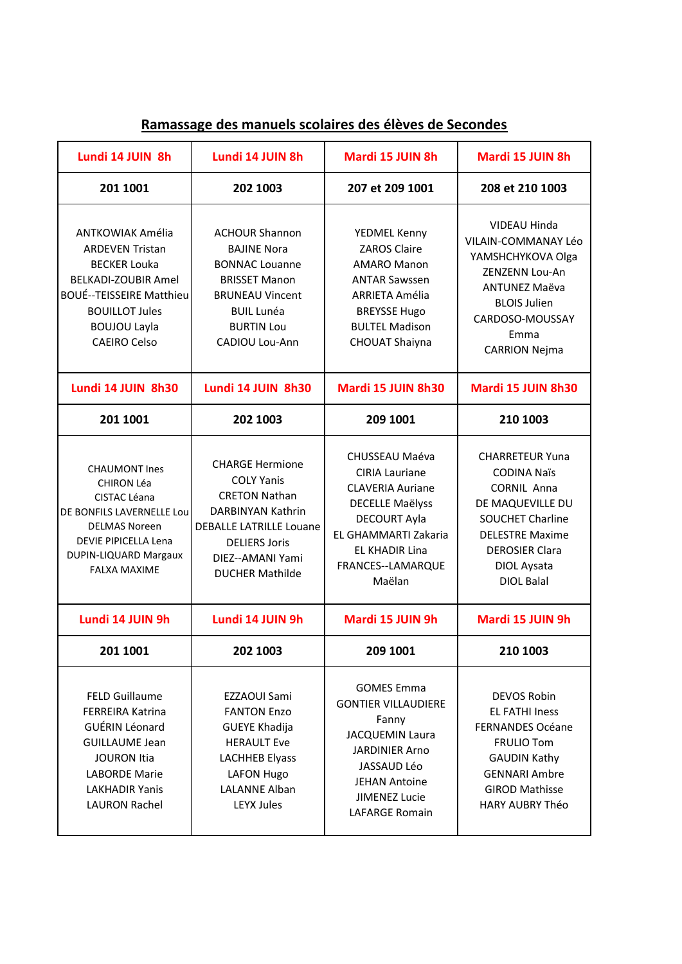| Lundi 14 JUIN 8h                                                                                                                                                                                                 | Lundi 14 JUIN 8h                                                                                                                                                                                 | Mardi 15 JUIN 8h                                                                                                                                                                                    | Mardi 15 JUIN 8h                                                                                                                                                                                         |
|------------------------------------------------------------------------------------------------------------------------------------------------------------------------------------------------------------------|--------------------------------------------------------------------------------------------------------------------------------------------------------------------------------------------------|-----------------------------------------------------------------------------------------------------------------------------------------------------------------------------------------------------|----------------------------------------------------------------------------------------------------------------------------------------------------------------------------------------------------------|
| 201 1001                                                                                                                                                                                                         | 202 1003                                                                                                                                                                                         | 207 et 209 1001                                                                                                                                                                                     | 208 et 210 1003                                                                                                                                                                                          |
| <b>ANTKOWIAK Amélia</b><br><b>ARDEVEN Tristan</b><br><b>BECKER Louka</b><br><b>BELKADI-ZOUBIR Amel</b><br><b>BOUÉ--TEISSEIRE Matthieu</b><br><b>BOUILLOT Jules</b><br><b>BOUJOU Layla</b><br><b>CAEIRO Celso</b> | <b>ACHOUR Shannon</b><br><b>BAJINE Nora</b><br><b>BONNAC Louanne</b><br><b>BRISSET Manon</b><br><b>BRUNEAU Vincent</b><br><b>BUIL Lunéa</b><br><b>BURTIN Lou</b><br>CADIOU Lou-Ann               | YEDMEL Kenny<br><b>ZAROS Claire</b><br><b>AMARO Manon</b><br><b>ANTAR Sawssen</b><br>ARRIETA Amélia<br><b>BREYSSE Hugo</b><br><b>BULTEL Madison</b><br><b>CHOUAT Shaiyna</b>                        | VIDEAU Hinda<br>VILAIN-COMMANAY Léo<br>YAMSHCHYKOVA Olga<br>ZENZENN Lou-An<br><b>ANTUNEZ Maëva</b><br><b>BLOIS Julien</b><br>CARDOSO-MOUSSAY<br>Emma<br><b>CARRION Nejma</b>                             |
| Lundi 14 JUIN 8h30                                                                                                                                                                                               | Lundi 14 JUIN 8h30                                                                                                                                                                               | Mardi 15 JUIN 8h30                                                                                                                                                                                  | Mardi 15 JUIN 8h30                                                                                                                                                                                       |
| 201 1001                                                                                                                                                                                                         | 202 1003                                                                                                                                                                                         | 209 1001                                                                                                                                                                                            | 210 1003                                                                                                                                                                                                 |
| <b>CHAUMONT Ines</b><br><b>CHIRON Léa</b><br>CISTAC Léana<br>DE BONFILS LAVERNELLE Lou<br><b>DELMAS Noreen</b><br>DEVIE PIPICELLA Lena<br>DUPIN-LIQUARD Margaux<br><b>FALXA MAXIME</b>                           | <b>CHARGE Hermione</b><br><b>COLY Yanis</b><br><b>CRETON Nathan</b><br>DARBINYAN Kathrin<br><b>DEBALLE LATRILLE Louane</b><br><b>DELIERS Joris</b><br>DIEZ--AMANI Yami<br><b>DUCHER Mathilde</b> | CHUSSEAU Maéva<br><b>CIRIA Lauriane</b><br><b>CLAVERIA Auriane</b><br><b>DECELLE Maëlyss</b><br><b>DECOURT Ayla</b><br>EL GHAMMARTI Zakaria<br><b>EL KHADIR Lina</b><br>FRANCES--LAMARQUE<br>Maëlan | <b>CHARRETEUR Yuna</b><br><b>CODINA Naïs</b><br><b>CORNIL Anna</b><br>DE MAQUEVILLE DU<br><b>SOUCHET Charline</b><br><b>DELESTRE Maxime</b><br><b>DEROSIER Clara</b><br>DIOL Aysata<br><b>DIOL Balal</b> |
| Lundi 14 JUIN 9h                                                                                                                                                                                                 | Lundi 14 JUIN 9h                                                                                                                                                                                 | Mardi 15 JUIN 9h                                                                                                                                                                                    | Mardi 15 JUIN 9h                                                                                                                                                                                         |
| 201 1001                                                                                                                                                                                                         | 202 1003                                                                                                                                                                                         | 209 1001                                                                                                                                                                                            | 210 1003                                                                                                                                                                                                 |
| <b>FELD Guillaume</b><br><b>FERREIRA Katrina</b><br>GUÉRIN Léonard<br><b>GUILLAUME Jean</b><br><b>JOURON Itia</b><br><b>LABORDE Marie</b><br><b>LAKHADIR Yanis</b><br><b>LAURON Rachel</b>                       | EZZAOUI Sami<br><b>FANTON Enzo</b><br><b>GUEYE Khadija</b><br><b>HERAULT Eve</b><br><b>LACHHEB Elyass</b><br><b>LAFON Hugo</b><br><b>LALANNE Alban</b><br><b>LEYX Jules</b>                      | <b>GOMES Emma</b><br><b>GONTIER VILLAUDIERE</b><br>Fanny<br>JACQUEMIN Laura<br><b>JARDINIER Arno</b><br>JASSAUD Léo<br><b>JEHAN Antoine</b><br><b>JIMENEZ Lucie</b><br><b>LAFARGE Romain</b>        | <b>DEVOS Robin</b><br><b>EL FATHI Iness</b><br><b>FERNANDES Océane</b><br><b>FRULIO Tom</b><br><b>GAUDIN Kathy</b><br><b>GENNARI Ambre</b><br><b>GIROD Mathisse</b><br>HARY AUBRY Théo                   |

## **Ramassage des manuels scolaires des élèves de Secondes**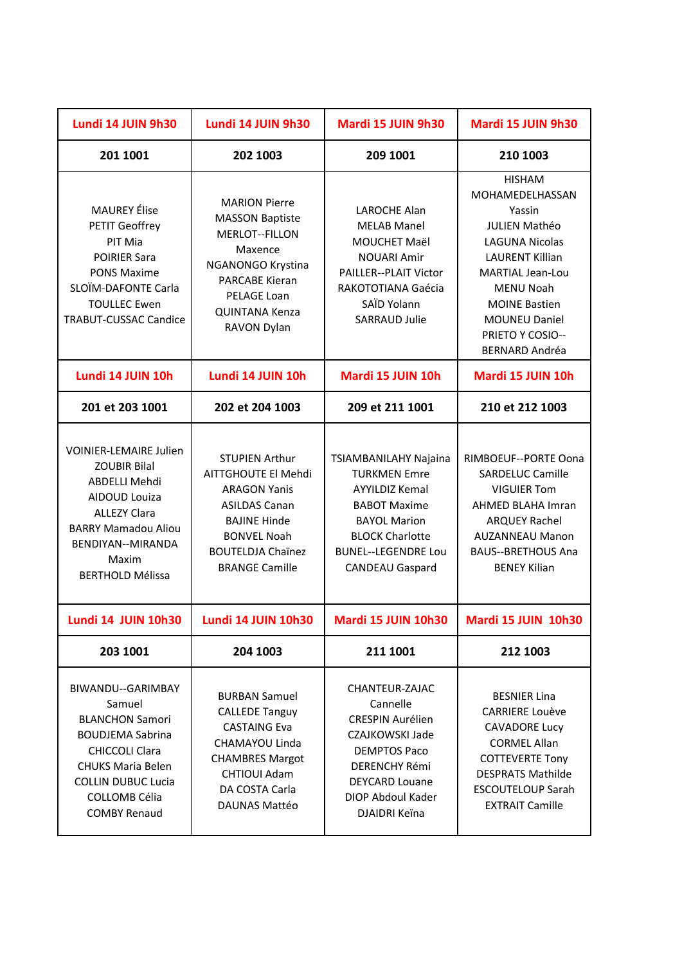| Lundi 14 JUIN 9h30                                                                                                                                                                                                | Lundi 14 JUIN 9h30                                                                                                                                                                            | Mardi 15 JUIN 9h30                                                                                                                                                                                    | Mardi 15 JUIN 9h30                                                                                                                                                                                                                                                |
|-------------------------------------------------------------------------------------------------------------------------------------------------------------------------------------------------------------------|-----------------------------------------------------------------------------------------------------------------------------------------------------------------------------------------------|-------------------------------------------------------------------------------------------------------------------------------------------------------------------------------------------------------|-------------------------------------------------------------------------------------------------------------------------------------------------------------------------------------------------------------------------------------------------------------------|
| 201 1001                                                                                                                                                                                                          | 202 1003                                                                                                                                                                                      | 209 1001                                                                                                                                                                                              | 210 1003                                                                                                                                                                                                                                                          |
| <b>MAUREY</b> Élise<br>PETIT Geoffrey<br>PIT Mia<br><b>POIRIER Sara</b><br><b>PONS Maxime</b><br>SLOÏM-DAFONTE Carla<br><b>TOULLEC Ewen</b><br>TRABUT-CUSSAC Candice                                              | <b>MARION Pierre</b><br><b>MASSON Baptiste</b><br>MERLOT--FILLON<br>Maxence<br>NGANONGO Krystina<br>PARCABE Kieran<br>PELAGE Loan<br>QUINTANA Kenza<br>RAVON Dylan                            | LAROCHE Alan<br><b>MELAB Manel</b><br>MOUCHET Maël<br><b>NOUARI Amir</b><br>PAILLER--PLAIT Victor<br>RAKOTOTIANA Gaécia<br>SAÏD Yolann<br>SARRAUD Julie                                               | <b>HISHAM</b><br>MOHAMEDELHASSAN<br>Yassin<br><b>JULIEN Mathéo</b><br><b>LAGUNA Nicolas</b><br><b>LAURENT Killian</b><br><b>MARTIAL Jean-Lou</b><br><b>MENU Noah</b><br><b>MOINE Bastien</b><br><b>MOUNEU Daniel</b><br>PRIETO Y COSIO--<br><b>BERNARD Andréa</b> |
| Lundi 14 JUIN 10h                                                                                                                                                                                                 | Lundi 14 JUIN 10h                                                                                                                                                                             | Mardi 15 JUIN 10h                                                                                                                                                                                     | Mardi 15 JUIN 10h                                                                                                                                                                                                                                                 |
| 201 et 203 1001                                                                                                                                                                                                   | 202 et 204 1003                                                                                                                                                                               | 209 et 211 1001                                                                                                                                                                                       | 210 et 212 1003                                                                                                                                                                                                                                                   |
| <b>VOINIER-LEMAIRE Julien</b><br><b>ZOUBIR Bilal</b><br>ABDELLI Mehdi<br><b>AIDOUD Louiza</b><br><b>ALLEZY Clara</b><br><b>BARRY Mamadou Aliou</b><br>BENDIYAN--MIRANDA<br>Maxim<br><b>BERTHOLD Mélissa</b>       | <b>STUPIEN Arthur</b><br>AITTGHOUTE El Mehdi<br><b>ARAGON Yanis</b><br><b>ASILDAS Canan</b><br><b>BAJINE Hinde</b><br><b>BONVEL Noah</b><br><b>BOUTELDJA Chaïnez</b><br><b>BRANGE Camille</b> | TSIAMBANILAHY Najaina<br><b>TURKMEN Emre</b><br><b>AYYILDIZ Kemal</b><br><b>BABOT Maxime</b><br><b>BAYOL Marion</b><br><b>BLOCK Charlotte</b><br><b>BUNEL--LEGENDRE Lou</b><br><b>CANDEAU Gaspard</b> | RIMBOEUF--PORTE Oona<br>SARDELUC Camille<br><b>VIGUIER Tom</b><br>AHMED BLAHA Imran<br><b>ARQUEY Rachel</b><br><b>AUZANNEAU Manon</b><br><b>BAUS--BRETHOUS Ana</b><br><b>BENEY Kilian</b>                                                                         |
| <b>Lundi 14 JUIN 10h30</b>                                                                                                                                                                                        | Lundi 14 JUIN 10h30                                                                                                                                                                           | <b>Mardi 15 JUIN 10h30</b>                                                                                                                                                                            | Mardi 15 JUIN 10h30                                                                                                                                                                                                                                               |
| 203 1001                                                                                                                                                                                                          | 204 1003                                                                                                                                                                                      | 211 1001                                                                                                                                                                                              | 212 1003                                                                                                                                                                                                                                                          |
| BIWANDU--GARIMBAY<br>Samuel<br><b>BLANCHON Samori</b><br><b>BOUDJEMA Sabrina</b><br><b>CHICCOLI Clara</b><br><b>CHUKS Maria Belen</b><br><b>COLLIN DUBUC Lucia</b><br><b>COLLOMB Célia</b><br><b>COMBY Renaud</b> | <b>BURBAN Samuel</b><br><b>CALLEDE Tanguy</b><br><b>CASTAING Eva</b><br>CHAMAYOU Linda<br><b>CHAMBRES Margot</b><br>CHTIOUI Adam<br>DA COSTA Carla<br>DAUNAS Mattéo                           | CHANTEUR-ZAJAC<br>Cannelle<br><b>CRESPIN Aurélien</b><br>CZAJKOWSKI Jade<br><b>DEMPTOS Paco</b><br><b>DERENCHY Rémi</b><br><b>DEYCARD Louane</b><br>DIOP Abdoul Kader<br>DJAIDRI Keïna                | <b>BESNIER Lina</b><br><b>CARRIERE Louève</b><br><b>CAVADORE Lucy</b><br><b>CORMEL Allan</b><br><b>COTTEVERTE Tony</b><br><b>DESPRATS Mathilde</b><br><b>ESCOUTELOUP Sarah</b><br><b>EXTRAIT Camille</b>                                                          |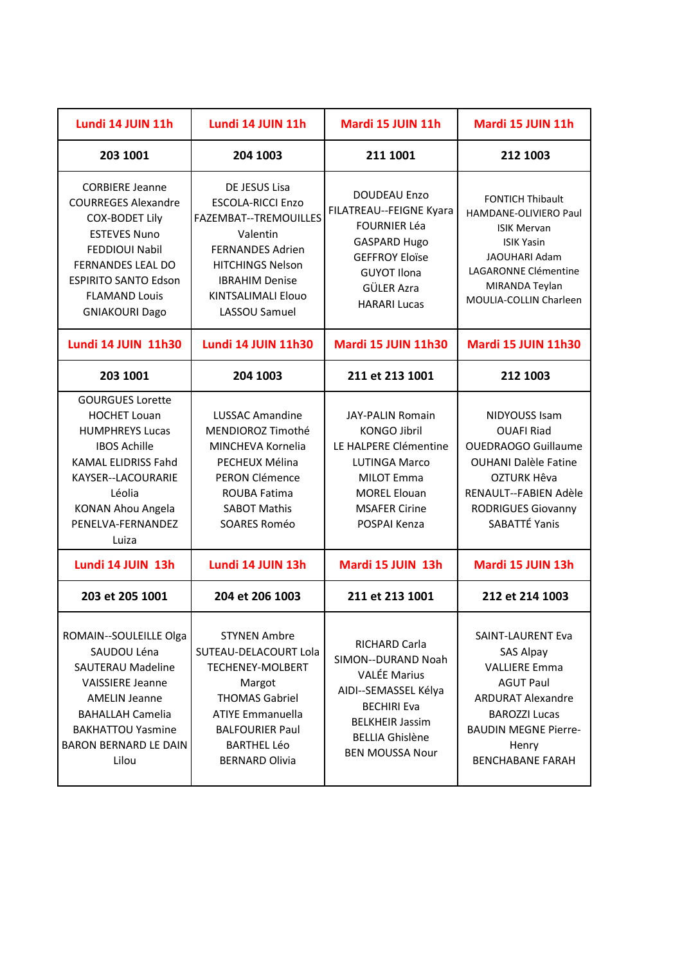| Lundi 14 JUIN 11h                                                                                                                                                                                                                         | Lundi 14 JUIN 11h                                                                                                                                                                                              | Mardi 15 JUIN 11h                                                                                                                                                                      | Mardi 15 JUIN 11h                                                                                                                                                                                               |
|-------------------------------------------------------------------------------------------------------------------------------------------------------------------------------------------------------------------------------------------|----------------------------------------------------------------------------------------------------------------------------------------------------------------------------------------------------------------|----------------------------------------------------------------------------------------------------------------------------------------------------------------------------------------|-----------------------------------------------------------------------------------------------------------------------------------------------------------------------------------------------------------------|
| 203 1001                                                                                                                                                                                                                                  | 204 1003                                                                                                                                                                                                       | 211 1001                                                                                                                                                                               | 212 1003                                                                                                                                                                                                        |
| <b>CORBIERE Jeanne</b><br><b>COURREGES Alexandre</b><br><b>COX-BODET Lily</b><br><b>ESTEVES Nuno</b><br><b>FEDDIOUI Nabil</b><br><b>FERNANDES LEAL DO</b><br><b>ESPIRITO SANTO Edson</b><br><b>FLAMAND Louis</b><br><b>GNIAKOURI Dago</b> | DE JESUS Lisa<br><b>ESCOLA-RICCI Enzo</b><br>FAZEMBAT--TREMOUILLES<br>Valentin<br><b>FERNANDES Adrien</b><br><b>HITCHINGS Nelson</b><br><b>IBRAHIM Denise</b><br>KINTSALIMALI Elouo<br>LASSOU Samuel           | <b>DOUDEAU Enzo</b><br>FILATREAU--FEIGNE Kyara<br><b>FOURNIER Léa</b><br><b>GASPARD Hugo</b><br><b>GEFFROY Eloïse</b><br><b>GUYOT Ilona</b><br>GÜLER Azra<br><b>HARARI Lucas</b>       | <b>FONTICH Thibault</b><br>HAMDANE-OLIVIERO Paul<br><b>ISIK Mervan</b><br><b>ISIK Yasin</b><br><b>JAOUHARI Adam</b><br>LAGARONNE Clémentine<br>MIRANDA Teylan<br><b>MOULIA-COLLIN Charleen</b>                  |
| <b>Lundi 14 JUIN 11h30</b>                                                                                                                                                                                                                | <b>Lundi 14 JUIN 11h30</b>                                                                                                                                                                                     | <b>Mardi 15 JUIN 11h30</b>                                                                                                                                                             | <b>Mardi 15 JUIN 11h30</b>                                                                                                                                                                                      |
| 203 1001                                                                                                                                                                                                                                  | 204 1003                                                                                                                                                                                                       | 211 et 213 1001                                                                                                                                                                        | 212 1003                                                                                                                                                                                                        |
| <b>GOURGUES Lorette</b><br><b>HOCHET Louan</b><br><b>HUMPHREYS Lucas</b><br><b>IBOS Achille</b><br>KAMAL ELIDRISS Fahd<br>KAYSER--LACOURARIE<br>Léolia<br><b>KONAN Ahou Angela</b><br>PENELVA-FERNANDEZ<br>Luiza                          | <b>LUSSAC Amandine</b><br>MENDIOROZ Timothé<br>MINCHEVA Kornelia<br>PECHEUX Mélina<br>PERON Clémence<br><b>ROUBA Fatima</b><br><b>SABOT Mathis</b><br>SOARES Roméo                                             | <b>JAY-PALIN Romain</b><br><b>KONGO Jibril</b><br>LE HALPERE Clémentine<br><b>LUTINGA Marco</b><br><b>MILOT Emma</b><br><b>MOREL Elouan</b><br><b>MSAFER Cirine</b><br>POSPAI Kenza    | <b>NIDYOUSS Isam</b><br><b>OUAFI Riad</b><br><b>OUEDRAOGO Guillaume</b><br><b>OUHANI Dalèle Fatine</b><br>OZTURK Hêva<br>RENAULT--FABIEN Adèle<br><b>RODRIGUES Giovanny</b><br>SABATTÉ Yanis                    |
| Lundi 14 JUIN 13h                                                                                                                                                                                                                         | Lundi 14 JUIN 13h                                                                                                                                                                                              | Mardi 15 JUIN 13h                                                                                                                                                                      | Mardi 15 JUIN 13h                                                                                                                                                                                               |
| 203 et 205 1001                                                                                                                                                                                                                           | 204 et 206 1003                                                                                                                                                                                                | 211 et 213 1001                                                                                                                                                                        | 212 et 214 1003                                                                                                                                                                                                 |
| ROMAIN--SOULEILLE Olga<br>SAUDOU Léna<br><b>SAUTERAU Madeline</b><br><b>VAISSIERE Jeanne</b><br><b>AMELIN Jeanne</b><br><b>BAHALLAH Camelia</b><br><b>BAKHATTOU Yasmine</b><br><b>BARON BERNARD LE DAIN</b><br>Lilou                      | <b>STYNEN Ambre</b><br>SUTEAU-DELACOURT Lola<br><b>TECHENEY-MOLBERT</b><br>Margot<br><b>THOMAS Gabriel</b><br><b>ATIYE Emmanuella</b><br><b>BALFOURIER Paul</b><br><b>BARTHEL Léo</b><br><b>BERNARD Olivia</b> | RICHARD Carla<br>SIMON--DURAND Noah<br><b>VALÉE Marius</b><br>AIDI--SEMASSEL Kélya<br><b>BECHIRI Eva</b><br><b>BELKHEIR Jassim</b><br><b>BELLIA Ghislène</b><br><b>BEN MOUSSA Nour</b> | <b>SAINT-LAURENT Eva</b><br><b>SAS Alpay</b><br><b>VALLIERE Emma</b><br><b>AGUT Paul</b><br><b>ARDURAT Alexandre</b><br><b>BAROZZI Lucas</b><br><b>BAUDIN MEGNE Pierre-</b><br>Henry<br><b>BENCHABANE FARAH</b> |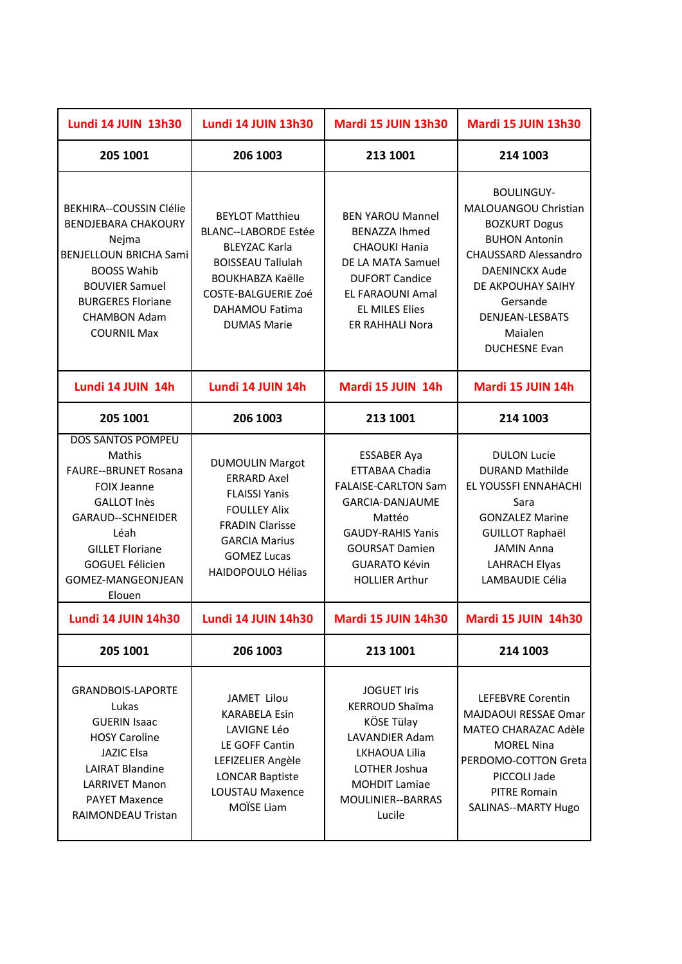| <b>Lundi 14 JUIN 13h30</b>                                                                                                                                                                                                    | <b>Lundi 14 JUIN 13h30</b>                                                                                                                                                                                 | <b>Mardi 15 JUIN 13h30</b>                                                                                                                                                                            | <b>Mardi 15 JUIN 13h30</b>                                                                                                                                                                                                               |
|-------------------------------------------------------------------------------------------------------------------------------------------------------------------------------------------------------------------------------|------------------------------------------------------------------------------------------------------------------------------------------------------------------------------------------------------------|-------------------------------------------------------------------------------------------------------------------------------------------------------------------------------------------------------|------------------------------------------------------------------------------------------------------------------------------------------------------------------------------------------------------------------------------------------|
| 205 1001                                                                                                                                                                                                                      | 206 1003                                                                                                                                                                                                   | 213 1001                                                                                                                                                                                              | 214 1003                                                                                                                                                                                                                                 |
| BEKHIRA--COUSSIN Clélie<br><b>BENDJEBARA CHAKOURY</b><br>Nejma<br><b>BENJELLOUN BRICHA Sami</b><br><b>BOOSS Wahib</b><br><b>BOUVIER Samuel</b><br><b>BURGERES Floriane</b><br><b>CHAMBON Adam</b><br><b>COURNIL Max</b>       | <b>BEYLOT Matthieu</b><br><b>BLANC--LABORDE Estée</b><br><b>BLEYZAC Karla</b><br><b>BOISSEAU Tallulah</b><br><b>BOUKHABZA Kaëlle</b><br><b>COSTE-BALGUERIE Zoé</b><br>DAHAMOU Fatima<br><b>DUMAS Marie</b> | <b>BEN YAROU Mannel</b><br><b>BENAZZA Ihmed</b><br><b>CHAOUKI Hania</b><br>DE LA MATA Samuel<br><b>DUFORT Candice</b><br>EL FARAOUNI Amal<br><b>EL MILES Elies</b><br><b>ER RAHHALI Nora</b>          | <b>BOULINGUY-</b><br>MALOUANGOU Christian<br><b>BOZKURT Dogus</b><br><b>BUHON Antonin</b><br><b>CHAUSSARD Alessandro</b><br><b>DAENINCKX Aude</b><br>DE AKPOUHAY SAIHY<br>Gersande<br>DENJEAN-LESBATS<br>Maialen<br><b>DUCHESNE Evan</b> |
| Lundi 14 JUIN 14h                                                                                                                                                                                                             | Lundi 14 JUIN 14h                                                                                                                                                                                          | Mardi 15 JUIN 14h                                                                                                                                                                                     | Mardi 15 JUIN 14h                                                                                                                                                                                                                        |
| 205 1001                                                                                                                                                                                                                      | 206 1003                                                                                                                                                                                                   | 213 1001                                                                                                                                                                                              | 214 1003                                                                                                                                                                                                                                 |
| <b>DOS SANTOS POMPEU</b><br>Mathis<br><b>FAURE--BRUNET Rosana</b><br><b>FOIX Jeanne</b><br><b>GALLOT Inès</b><br>GARAUD--SCHNEIDER<br>Léah<br><b>GILLET Floriane</b><br><b>GOGUEL Félicien</b><br>GOMEZ-MANGEONJEAN<br>Elouen | <b>DUMOULIN Margot</b><br><b>ERRARD Axel</b><br><b>FLAISSI Yanis</b><br><b>FOULLEY Alix</b><br><b>FRADIN Clarisse</b><br><b>GARCIA Marius</b><br><b>GOMEZ Lucas</b><br>HAIDOPOULO Hélias                   | <b>ESSABER Aya</b><br>ETTABAA Chadia<br><b>FALAISE-CARLTON Sam</b><br>GARCIA-DANJAUME<br>Mattéo<br><b>GAUDY-RAHIS Yanis</b><br><b>GOURSAT Damien</b><br><b>GUARATO Kévin</b><br><b>HOLLIER Arthur</b> | <b>DULON Lucie</b><br><b>DURAND Mathilde</b><br>EL YOUSSFI ENNAHACHI<br>Sara<br><b>GONZALEZ Marine</b><br><b>GUILLOT Raphaël</b><br><b>JAMIN Anna</b><br><b>LAHRACH Elyas</b><br>LAMBAUDIE Célia                                         |
| <b>Lundi 14 JUIN 14h30</b>                                                                                                                                                                                                    | <b>Lundi 14 JUIN 14h30</b>                                                                                                                                                                                 | <b>Mardi 15 JUIN 14h30</b>                                                                                                                                                                            | <b>Mardi 15 JUIN 14h30</b>                                                                                                                                                                                                               |
| 205 1001                                                                                                                                                                                                                      | 206 1003                                                                                                                                                                                                   | 213 1001                                                                                                                                                                                              | 214 1003                                                                                                                                                                                                                                 |
| <b>GRANDBOIS-LAPORTE</b><br>Lukas<br><b>GUERIN Isaac</b><br><b>HOSY Caroline</b><br><b>JAZIC Elsa</b><br><b>LAIRAT Blandine</b><br><b>LARRIVET Manon</b><br><b>PAYET Maxence</b><br>RAIMONDEAU Tristan                        | JAMET Lilou<br><b>KARABELA Esin</b><br>LAVIGNE Léo<br>LE GOFF Cantin<br>LEFIZELIER Angèle<br><b>LONCAR Baptiste</b><br><b>LOUSTAU Maxence</b><br>MOÏSE Liam                                                | <b>JOGUET Iris</b><br><b>KERROUD Shaïma</b><br>KÖSE Tülay<br><b>LAVANDIER Adam</b><br>LKHAOUA Lilia<br>LOTHER Joshua<br><b>MOHDIT Lamiae</b><br>MOULINIER--BARRAS<br>Lucile                           | <b>LEFEBVRE Corentin</b><br>MAJDAOUI RESSAE Omar<br><b>MATEO CHARAZAC Adèle</b><br><b>MOREL Nina</b><br>PERDOMO-COTTON Greta<br>PICCOLI Jade<br><b>PITRE Romain</b><br>SALINAS--MARTY Hugo                                               |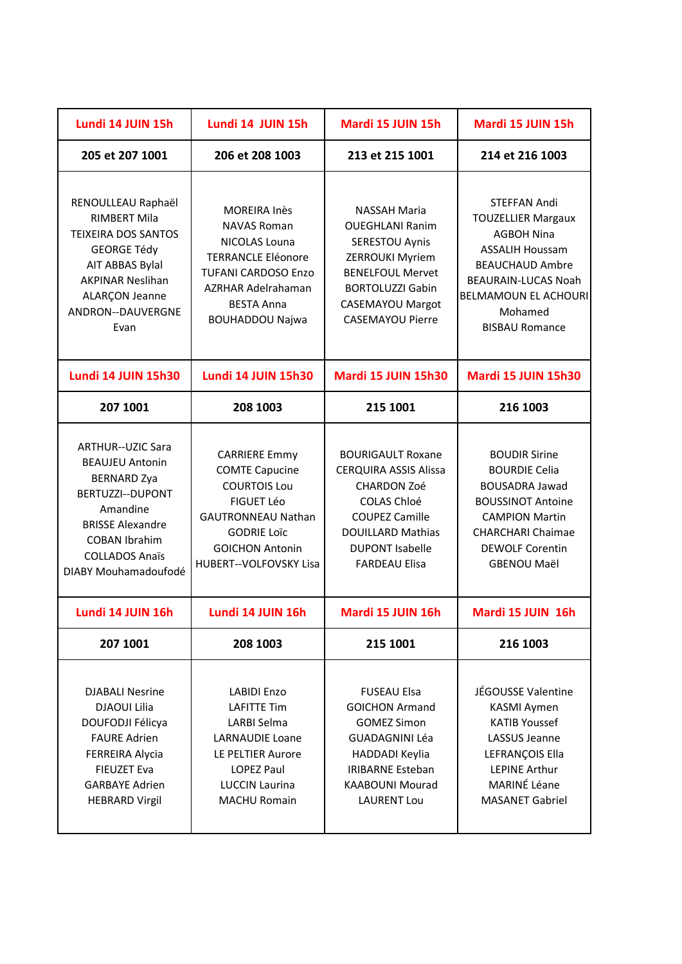| Lundi 14 JUIN 15h                                                                                                                                                                                            | Lundi 14 JUIN 15h                                                                                                                                                                          | Mardi 15 JUIN 15h                                                                                                                                                                                     | Mardi 15 JUIN 15h                                                                                                                                                                                                   |
|--------------------------------------------------------------------------------------------------------------------------------------------------------------------------------------------------------------|--------------------------------------------------------------------------------------------------------------------------------------------------------------------------------------------|-------------------------------------------------------------------------------------------------------------------------------------------------------------------------------------------------------|---------------------------------------------------------------------------------------------------------------------------------------------------------------------------------------------------------------------|
| 205 et 207 1001                                                                                                                                                                                              | 206 et 208 1003                                                                                                                                                                            | 213 et 215 1001                                                                                                                                                                                       | 214 et 216 1003                                                                                                                                                                                                     |
| RENOULLEAU Raphaël<br><b>RIMBERT Mila</b><br><b>TEIXEIRA DOS SANTOS</b><br><b>GEORGE Tédy</b><br>AIT ABBAS Bylal<br><b>AKPINAR Neslihan</b><br>ALARÇON Jeanne<br>ANDRON--DAUVERGNE<br>Evan                   | <b>MOREIRA Inès</b><br><b>NAVAS Roman</b><br>NICOLAS Louna<br><b>TERRANCLE Eléonore</b><br><b>TUFANI CARDOSO Enzo</b><br>AZRHAR Adelrahaman<br><b>BESTA Anna</b><br><b>BOUHADDOU Najwa</b> | <b>NASSAH Maria</b><br><b>OUEGHLANI Ranim</b><br>SERESTOU Aynis<br><b>ZERROUKI Myriem</b><br><b>BENELFOUL Mervet</b><br><b>BORTOLUZZI Gabin</b><br><b>CASEMAYOU Margot</b><br><b>CASEMAYOU Pierre</b> | STEFFAN Andi<br><b>TOUZELLIER Margaux</b><br><b>AGBOH Nina</b><br><b>ASSALIH Houssam</b><br><b>BEAUCHAUD Ambre</b><br><b>BEAURAIN-LUCAS Noah</b><br><b>BELMAMOUN EL ACHOURI</b><br>Mohamed<br><b>BISBAU Romance</b> |
| <b>Lundi 14 JUIN 15h30</b>                                                                                                                                                                                   | <b>Lundi 14 JUIN 15h30</b>                                                                                                                                                                 | Mardi 15 JUIN 15h30                                                                                                                                                                                   | Mardi 15 JUIN 15h30                                                                                                                                                                                                 |
| 207 1001                                                                                                                                                                                                     | 208 1003                                                                                                                                                                                   | 215 1001                                                                                                                                                                                              | 216 1003                                                                                                                                                                                                            |
| <b>ARTHUR--UZIC Sara</b><br><b>BEAUJEU Antonin</b><br><b>BERNARD Zya</b><br>BERTUZZI--DUPONT<br>Amandine<br><b>BRISSE Alexandre</b><br><b>COBAN Ibrahim</b><br><b>COLLADOS Anaïs</b><br>DIABY Mouhamadoufodé | <b>CARRIERE Emmy</b><br><b>COMTE Capucine</b><br><b>COURTOIS Lou</b><br>FIGUET Léo<br><b>GAUTRONNEAU Nathan</b><br><b>GODRIE Loïc</b><br><b>GOICHON Antonin</b><br>HUBERT--VOLFOVSKY Lisa  | <b>BOURIGAULT Roxane</b><br><b>CERQUIRA ASSIS Alissa</b><br><b>CHARDON Zoé</b><br>COLAS Chloé<br><b>COUPEZ Camille</b><br><b>DOUILLARD Mathias</b><br><b>DUPONT Isabelle</b><br><b>FARDEAU Elisa</b>  | <b>BOUDIR Sirine</b><br><b>BOURDIE Celia</b><br><b>BOUSADRA Jawad</b><br><b>BOUSSINOT Antoine</b><br><b>CAMPION Martin</b><br><b>CHARCHARI Chaimae</b><br><b>DEWOLF Corentin</b><br><b>GBENOU Maël</b>              |
| Lundi 14 JUIN 16h                                                                                                                                                                                            | Lundi 14 JUIN 16h                                                                                                                                                                          | Mardi 15 JUIN 16h                                                                                                                                                                                     | Mardi 15 JUIN 16h                                                                                                                                                                                                   |
| 207 1001                                                                                                                                                                                                     | 208 1003                                                                                                                                                                                   | 215 1001                                                                                                                                                                                              | 216 1003                                                                                                                                                                                                            |
| <b>DJABALI Nesrine</b><br><b>DJAOUI Lilia</b><br>DOUFODJI Félicya<br><b>FAURE Adrien</b><br><b>FERREIRA Alycia</b><br><b>FIEUZET Eva</b><br><b>GARBAYE Adrien</b><br><b>HEBRARD Virgil</b>                   | <b>LABIDI Enzo</b><br><b>LAFITTE Tim</b><br>LARBI Selma<br><b>LARNAUDIE Loane</b><br>LE PELTIER Aurore<br><b>LOPEZ Paul</b><br><b>LUCCIN Laurina</b><br><b>MACHU Romain</b>                | <b>FUSEAU Elsa</b><br><b>GOICHON Armand</b><br><b>GOMEZ Simon</b><br><b>GUADAGNINI Léa</b><br>HADDADI Keylia<br><b>IRIBARNE Esteban</b><br><b>KAABOUNI Mourad</b><br><b>LAURENT Lou</b>               | JÉGOUSSE Valentine<br><b>KASMI Aymen</b><br><b>KATIB Youssef</b><br>LASSUS Jeanne<br>LEFRANÇOIS Ella<br><b>LEPINE Arthur</b><br>MARINÉ Léane<br><b>MASANET Gabriel</b>                                              |